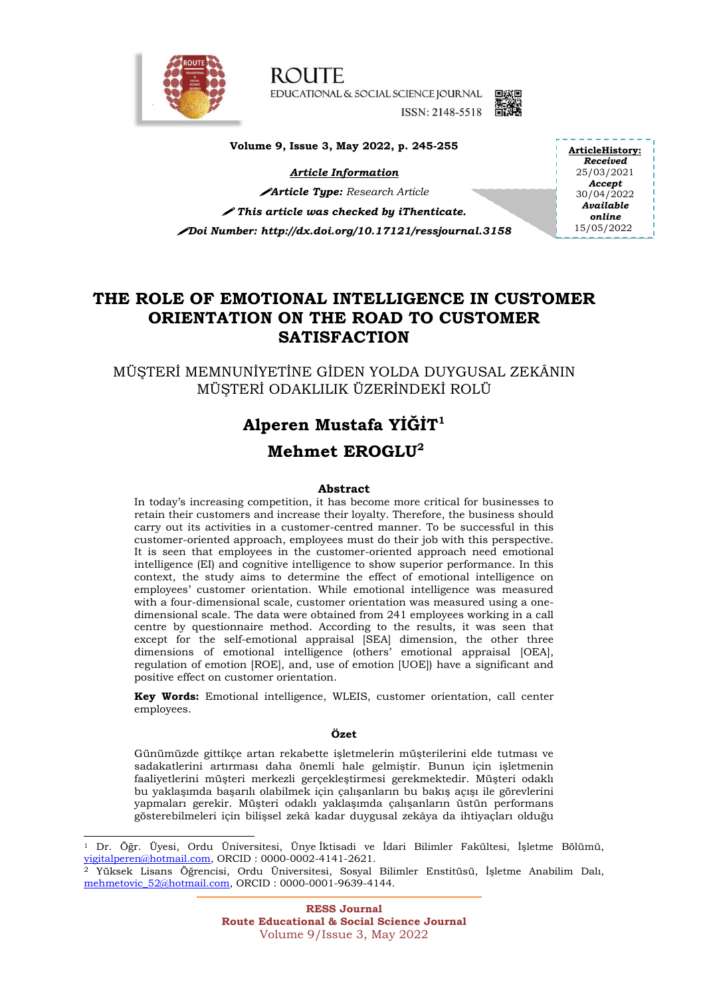

-

**ROUTE** EDUCATIONAL & SOCIAL SCIENCE JOURNAL ISSN: 2148-5518 图



**Volume 9, Issue 3, May 2022, p. 245-255**

*Article Information*

*Article Type: Research Article This article was checked by iThenticate. Doi Number: http://dx.doi.org/10.17121/ressjournal.3158* **ArticleHistory:** *Received* 25/03/2021 *Accept* 30/04/2022 *Available online* 15/05/2022

## **THE ROLE OF EMOTIONAL INTELLIGENCE IN CUSTOMER ORIENTATION ON THE ROAD TO CUSTOMER SATISFACTION**

MÜŞTERİ MEMNUNİYETİNE GİDEN YOLDA DUYGUSAL ZEKÂNIN MÜŞTERİ ODAKLILIK ÜZERİNDEKİ ROLÜ

# **Alperen Mustafa YİĞİT<sup>1</sup> Mehmet EROGLU<sup>2</sup>**

#### **Abstract**

In today's increasing competition, it has become more critical for businesses to retain their customers and increase their loyalty. Therefore, the business should carry out its activities in a customer-centred manner. To be successful in this customer-oriented approach, employees must do their job with this perspective. It is seen that employees in the customer-oriented approach need emotional intelligence (EI) and cognitive intelligence to show superior performance. In this context, the study aims to determine the effect of emotional intelligence on employees' customer orientation. While emotional intelligence was measured with a four-dimensional scale, customer orientation was measured using a onedimensional scale. The data were obtained from 241 employees working in a call centre by questionnaire method. According to the results, it was seen that except for the self-emotional appraisal [SEA] dimension, the other three dimensions of emotional intelligence (others' emotional appraisal [OEA], regulation of emotion [ROE], and, use of emotion [UOE]) have a significant and positive effect on customer orientation.

**Key Words:** Emotional intelligence, WLEIS, customer orientation, call center employees.

#### **Özet**

Günümüzde gittikçe artan rekabette işletmelerin müşterilerini elde tutması ve sadakatlerini artırması daha önemli hale gelmiştir. Bunun için işletmenin faaliyetlerini müşteri merkezli gerçekleştirmesi gerekmektedir. Müşteri odaklı bu yaklaşımda başarılı olabilmek için çalışanların bu bakış açışı ile görevlerini yapmaları gerekir. Müşteri odaklı yaklaşımda çalışanların üstün performans gösterebilmeleri için bilişsel zekâ kadar duygusal zekâya da ihtiyaçları olduğu

 $1$  Dr. Öğr. Üyesi, Ordu Üniversitesi, Ünye $i$ ktisadi ve İdari Bilimler Fakültesi, İşletme Bölümü, [yigitalperen@hotmail.com,](mailto:yigitalperen@hotmail.com) ORCID : 0000-0002-4141-2621.

<sup>2</sup> Yüksek Lisans Öğrencisi, Ordu Üniversitesi, Sosyal Bilimler Enstitüsü, İşletme Anabilim Dalı, [mehmetovic\\_52@hotmail.com,](mailto:mehmetovic_52@hotmail.com) ORCID : 0000-0001-9639-4144.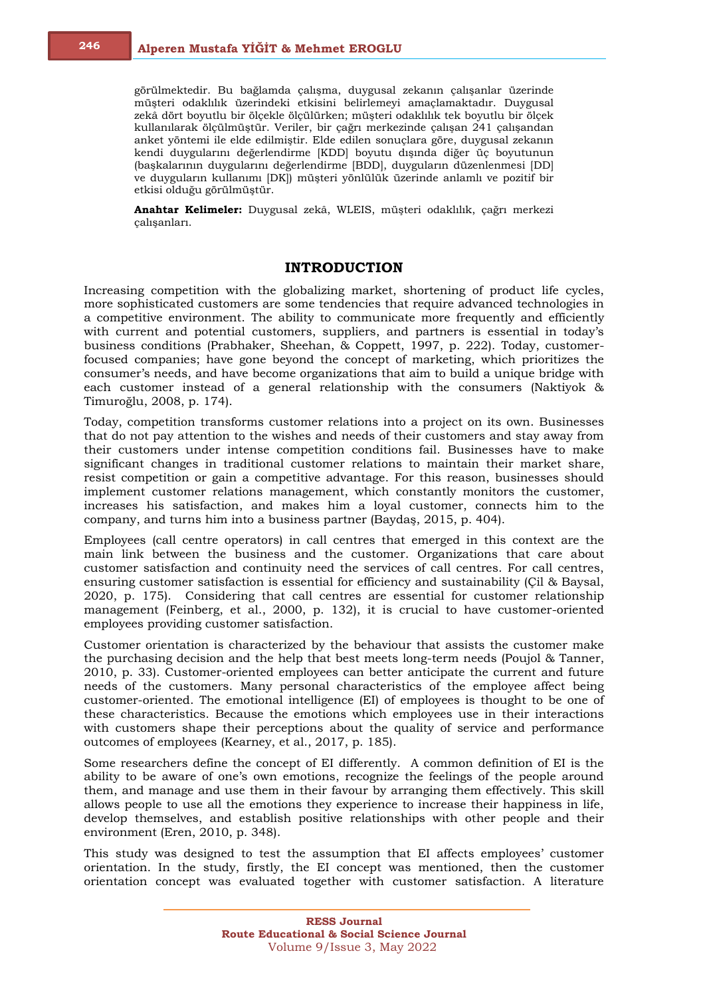görülmektedir. Bu bağlamda çalışma, duygusal zekanın çalışanlar üzerinde müşteri odaklılık üzerindeki etkisini belirlemeyi amaçlamaktadır. Duygusal zekâ dört boyutlu bir ölçekle ölçülürken; müşteri odaklılık tek boyutlu bir ölçek kullanılarak ölçülmüştür. Veriler, bir çağrı merkezinde çalışan 241 çalışandan anket yöntemi ile elde edilmiştir. Elde edilen sonuçlara göre, duygusal zekanın kendi duygularını değerlendirme [KDD] boyutu dışında diğer üç boyutunun (başkalarının duygularını değerlendirme [BDD], duyguların düzenlenmesi [DD] ve duyguların kullanımı [DK]) müşteri yönlülük üzerinde anlamlı ve pozitif bir etkisi olduğu görülmüştür.

**Anahtar Kelimeler:** Duygusal zekâ, WLEIS, müşteri odaklılık, çağrı merkezi çalışanları.

## **INTRODUCTION**

Increasing competition with the globalizing market, shortening of product life cycles, more sophisticated customers are some tendencies that require advanced technologies in a competitive environment. The ability to communicate more frequently and efficiently with current and potential customers, suppliers, and partners is essential in today's business conditions (Prabhaker, Sheehan, & Coppett, 1997, p. 222). Today, customerfocused companies; have gone beyond the concept of marketing, which prioritizes the consumer's needs, and have become organizations that aim to build a unique bridge with each customer instead of a general relationship with the consumers (Naktiyok & Timuroğlu, 2008, p. 174).

Today, competition transforms customer relations into a project on its own. Businesses that do not pay attention to the wishes and needs of their customers and stay away from their customers under intense competition conditions fail. Businesses have to make significant changes in traditional customer relations to maintain their market share, resist competition or gain a competitive advantage. For this reason, businesses should implement customer relations management, which constantly monitors the customer, increases his satisfaction, and makes him a loyal customer, connects him to the company, and turns him into a business partner (Baydaş, 2015, p. 404).

Employees (call centre operators) in call centres that emerged in this context are the main link between the business and the customer. Organizations that care about customer satisfaction and continuity need the services of call centres. For call centres, ensuring customer satisfaction is essential for efficiency and sustainability (Çil & Baysal, 2020, p. 175). Considering that call centres are essential for customer relationship management (Feinberg, et al., 2000, p. 132), it is crucial to have customer-oriented employees providing customer satisfaction.

Customer orientation is characterized by the behaviour that assists the customer make the purchasing decision and the help that best meets long-term needs (Poujol & Tanner, 2010, p. 33). Customer-oriented employees can better anticipate the current and future needs of the customers. Many personal characteristics of the employee affect being customer-oriented. The emotional intelligence (EI) of employees is thought to be one of these characteristics. Because the emotions which employees use in their interactions with customers shape their perceptions about the quality of service and performance outcomes of employees (Kearney, et al., 2017, p. 185).

Some researchers define the concept of EI differently. A common definition of EI is the ability to be aware of one's own emotions, recognize the feelings of the people around them, and manage and use them in their favour by arranging them effectively. This skill allows people to use all the emotions they experience to increase their happiness in life, develop themselves, and establish positive relationships with other people and their environment (Eren, 2010, p. 348).

This study was designed to test the assumption that EI affects employees' customer orientation. In the study, firstly, the EI concept was mentioned, then the customer orientation concept was evaluated together with customer satisfaction. A literature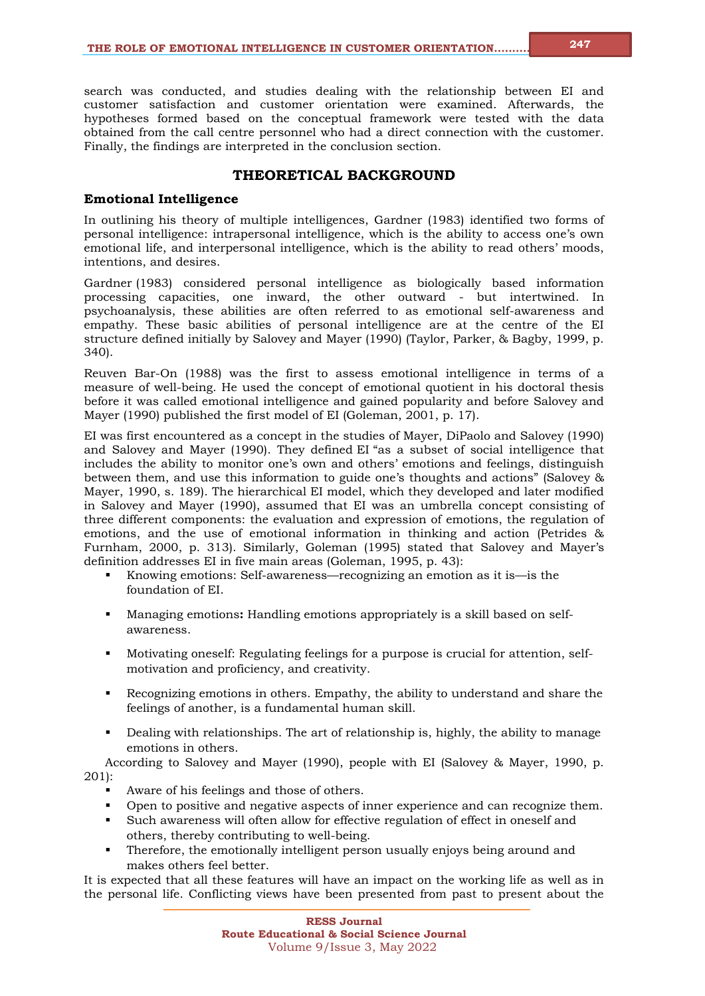search was conducted, and studies dealing with the relationship between EI and customer satisfaction and customer orientation were examined. Afterwards, the hypotheses formed based on the conceptual framework were tested with the data obtained from the call centre personnel who had a direct connection with the customer. Finally, the findings are interpreted in the conclusion section.

## **THEORETICAL BACKGROUND**

## **Emotional Intelligence**

In outlining his theory of multiple intelligences, Gardner (1983) identified two forms of personal intelligence: intrapersonal intelligence, which is the ability to access one's own emotional life, and interpersonal intelligence, which is the ability to read others' moods, intentions, and desires.

Gardner (1983) considered personal intelligence as biologically based information processing capacities, one inward, the other outward - but intertwined. In psychoanalysis, these abilities are often referred to as emotional self-awareness and empathy. These basic abilities of personal intelligence are at the centre of the EI structure defined initially by Salovey and Mayer (1990) (Taylor, Parker, & Bagby, 1999, p. 340).

Reuven Bar-On (1988) was the first to assess emotional intelligence in terms of a measure of well-being. He used the concept of emotional quotient in his doctoral thesis before it was called emotional intelligence and gained popularity and before Salovey and Mayer (1990) published the first model of EI (Goleman, 2001, p. 17).

EI was first encountered as a concept in the studies of Mayer, DiPaolo and Salovey (1990) and Salovey and Mayer (1990). They defined EI "as a subset of social intelligence that includes the ability to monitor one's own and others' emotions and feelings, distinguish between them, and use this information to guide one's thoughts and actions" (Salovey & Mayer, 1990, s. 189). The hierarchical EI model, which they developed and later modified in Salovey and Mayer (1990), assumed that EI was an umbrella concept consisting of three different components: the evaluation and expression of emotions, the regulation of emotions, and the use of emotional information in thinking and action (Petrides & Furnham, 2000, p. 313). Similarly, Goleman (1995) stated that Salovey and Mayer's definition addresses EI in five main areas (Goleman, 1995, p. 43):

- Knowing emotions: Self-awareness—recognizing an emotion as it is—is the foundation of EI.
- Managing emotions**:** Handling emotions appropriately is a skill based on selfawareness.
- Motivating oneself: Regulating feelings for a purpose is crucial for attention, selfmotivation and proficiency, and creativity.
- Recognizing emotions in others. Empathy, the ability to understand and share the feelings of another, is a fundamental human skill.
- Dealing with relationships. The art of relationship is, highly, the ability to manage emotions in others.

According to Salovey and Mayer (1990), people with EI (Salovey & Mayer, 1990, p. 201):

- Aware of his feelings and those of others.
- Open to positive and negative aspects of inner experience and can recognize them.
- Such awareness will often allow for effective regulation of effect in oneself and others, thereby contributing to well-being.
- Therefore, the emotionally intelligent person usually enjoys being around and makes others feel better.

It is expected that all these features will have an impact on the working life as well as in the personal life. Conflicting views have been presented from past to present about the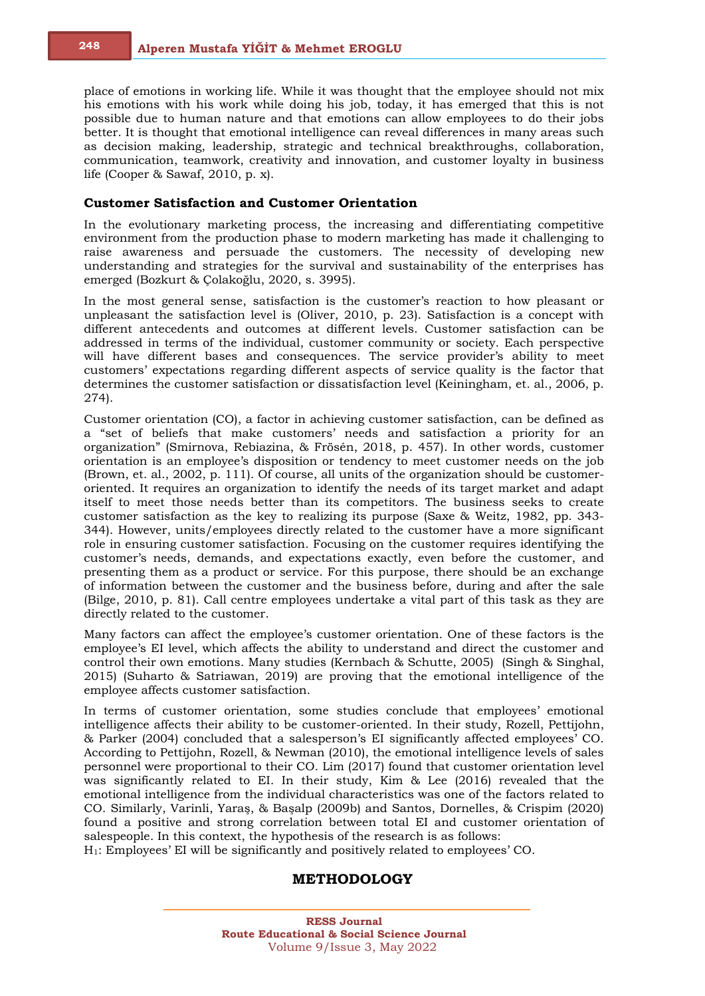place of emotions in working life. While it was thought that the employee should not mix his emotions with his work while doing his job, today, it has emerged that this is not possible due to human nature and that emotions can allow employees to do their jobs better. It is thought that emotional intelligence can reveal differences in many areas such as decision making, leadership, strategic and technical breakthroughs, collaboration, communication, teamwork, creativity and innovation, and customer loyalty in business life (Cooper & Sawaf, 2010, p. x).

#### **Customer Satisfaction and Customer Orientation**

In the evolutionary marketing process, the increasing and differentiating competitive environment from the production phase to modern marketing has made it challenging to raise awareness and persuade the customers. The necessity of developing new understanding and strategies for the survival and sustainability of the enterprises has emerged (Bozkurt & Çolakoğlu, 2020, s. 3995).

In the most general sense, satisfaction is the customer's reaction to how pleasant or unpleasant the satisfaction level is (Oliver, 2010, p. 23). Satisfaction is a concept with different antecedents and outcomes at different levels. Customer satisfaction can be addressed in terms of the individual, customer community or society. Each perspective will have different bases and consequences. The service provider's ability to meet customers' expectations regarding different aspects of service quality is the factor that determines the customer satisfaction or dissatisfaction level (Keiningham, et. al., 2006, p. 274).

Customer orientation (CO), a factor in achieving customer satisfaction, can be defined as a "set of beliefs that make customers' needs and satisfaction a priority for an organization" (Smirnova, Rebiazina, & Frösén, 2018, p. 457). In other words, customer orientation is an employee's disposition or tendency to meet customer needs on the job (Brown, et. al., 2002, p. 111). Of course, all units of the organization should be customeroriented. It requires an organization to identify the needs of its target market and adapt itself to meet those needs better than its competitors. The business seeks to create customer satisfaction as the key to realizing its purpose (Saxe & Weitz, 1982, pp. 343- 344). However, units/employees directly related to the customer have a more significant role in ensuring customer satisfaction. Focusing on the customer requires identifying the customer's needs, demands, and expectations exactly, even before the customer, and presenting them as a product or service. For this purpose, there should be an exchange of information between the customer and the business before, during and after the sale (Bilge, 2010, p. 81). Call centre employees undertake a vital part of this task as they are directly related to the customer.

Many factors can affect the employee's customer orientation. One of these factors is the employee's EI level, which affects the ability to understand and direct the customer and control their own emotions. Many studies (Kernbach & Schutte, 2005) (Singh & Singhal, 2015) (Suharto & Satriawan, 2019) are proving that the emotional intelligence of the employee affects customer satisfaction.

In terms of customer orientation, some studies conclude that employees' emotional intelligence affects their ability to be customer-oriented. In their study, Rozell, Pettijohn, & Parker (2004) concluded that a salesperson's EI significantly affected employees' CO. According to Pettijohn, Rozell, & Newman (2010), the emotional intelligence levels of sales personnel were proportional to their CO. Lim (2017) found that customer orientation level was significantly related to EI. In their study, Kim & Lee (2016) revealed that the emotional intelligence from the individual characteristics was one of the factors related to CO. Similarly, Varinli, Yaraş, & Başalp (2009b) and Santos, Dornelles, & Crispim (2020) found a positive and strong correlation between total EI and customer orientation of salespeople. In this context, the hypothesis of the research is as follows:

H1: Employees' EI will be significantly and positively related to employees' CO.

## **METHODOLOGY**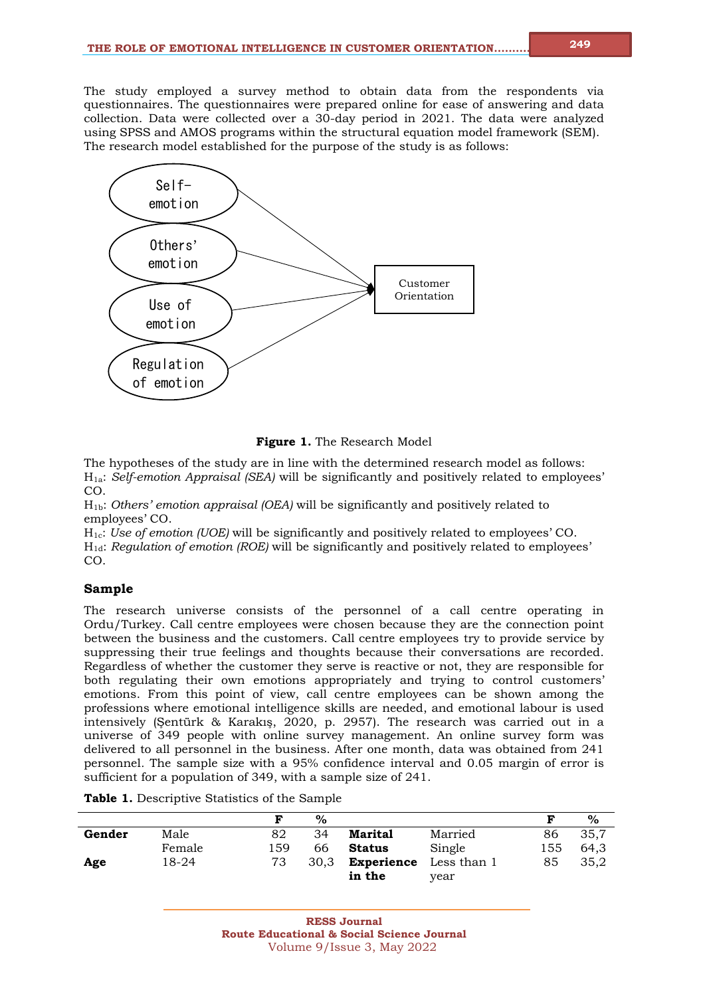The study employed a survey method to obtain data from the respondents via questionnaires. The questionnaires were prepared online for ease of answering and data collection. Data were collected over a 30-day period in 2021. The data were analyzed using SPSS and AMOS programs within the structural equation model framework (SEM). The research model established for the purpose of the study is as follows:



**Figure 1.** The Research Model

The hypotheses of the study are in line with the determined research model as follows: H1a: *Self-emotion Appraisal (SEA)* will be significantly and positively related to employees' CO.

H1b: *Others' emotion appraisal (OEA)* will be significantly and positively related to employees' CO.

H1c: *Use of emotion (UOE)* will be significantly and positively related to employees' CO. H1d: *Regulation of emotion (ROE)* will be significantly and positively related to employees' CO.

## **Sample**

The research universe consists of the personnel of a call centre operating in Ordu/Turkey. Call centre employees were chosen because they are the connection point between the business and the customers. Call centre employees try to provide service by suppressing their true feelings and thoughts because their conversations are recorded. Regardless of whether the customer they serve is reactive or not, they are responsible for both regulating their own emotions appropriately and trying to control customers' emotions. From this point of view, call centre employees can be shown among the professions where emotional intelligence skills are needed, and emotional labour is used intensively (Şentürk & Karakış, 2020, p. 2957). The research was carried out in a universe of 349 people with online survey management. An online survey form was delivered to all personnel in the business. After one month, data was obtained from 241 personnel*.* The sample size with a 95% confidence interval and 0.05 margin of error is sufficient for a population of 349, with a sample size of 241.

|  |  | <b>Table 1.</b> Descriptive Statistics of the Sample |  |  |  |
|--|--|------------------------------------------------------|--|--|--|
|--|--|------------------------------------------------------|--|--|--|

|        |        | F   | $\%$ |                   |             | F   | $\%$ |
|--------|--------|-----|------|-------------------|-------------|-----|------|
| Gender | Male   | 82  | 34   | <b>Marital</b>    | Married     | 86  | 35.7 |
|        | Female | 159 | 66   | <b>Status</b>     | Single      | 155 | 64,3 |
| Age    | 18-24  | 73  | 30.3 | <b>Experience</b> | Less than 1 | 85  | 35,2 |
|        |        |     |      | in the            | year        |     |      |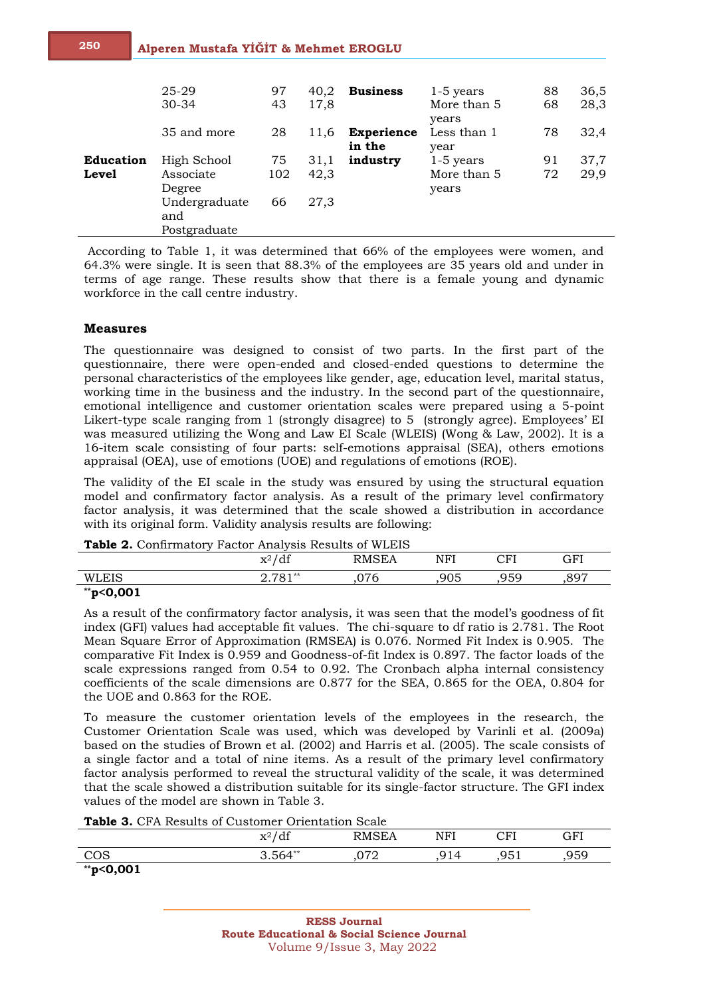|                                  | 25-29<br>$30 - 34$                                                         | 97<br>43        | 40,2<br>17,8         | <b>Business</b>             | $1-5$ years<br>More than 5<br>years | 88<br>68 | 36,5<br>28,3 |
|----------------------------------|----------------------------------------------------------------------------|-----------------|----------------------|-----------------------------|-------------------------------------|----------|--------------|
|                                  | 35 and more                                                                | 28              | 11,6                 | <b>Experience</b><br>in the | Less than 1<br>year                 | 78       | 32,4         |
| <b>Education</b><br><b>Level</b> | High School<br>Associate<br>Degree<br>Undergraduate<br>and<br>Postgraduate | 75<br>102<br>66 | 31,1<br>42,3<br>27,3 | industry                    | $1-5$ years<br>More than 5<br>years | 91<br>72 | 37,7<br>29,9 |

According to Table 1, it was determined that 66% of the employees were women, and 64.3% were single. It is seen that 88.3% of the employees are 35 years old and under in terms of age range. These results show that there is a female young and dynamic workforce in the call centre industry.

#### **Measures**

The questionnaire was designed to consist of two parts. In the first part of the questionnaire, there were open-ended and closed-ended questions to determine the personal characteristics of the employees like gender, age, education level, marital status, working time in the business and the industry. In the second part of the questionnaire, emotional intelligence and customer orientation scales were prepared using a 5-point Likert-type scale ranging from 1 (strongly disagree) to 5 (strongly agree). Employees' EI was measured utilizing the Wong and Law EI Scale (WLEIS) (Wong & Law, 2002). It is a 16-item scale consisting of four parts: self-emotions appraisal (SEA), others emotions appraisal (OEA), use of emotions (UOE) and regulations of emotions (ROE).

The validity of the EI scale in the study was ensured by using the structural equation model and confirmatory factor analysis. As a result of the primary level confirmatory factor analysis, it was determined that the scale showed a distribution in accordance with its original form. Validity analysis results are following:

| <b>Table 2.</b> Committeeur reactor milarysis results of while | $x^2/df$  | <b>RMSEA</b> | NFI | CFI | GFI  |
|----------------------------------------------------------------|-----------|--------------|-----|-----|------|
| WLEIS                                                          | $2.781**$ | .076         | 905 | 959 | .897 |
| $*$ p<0,001                                                    |           |              |     |     |      |

| Table 2. Confirmatory Factor Analysis Results of WLEIS |  |  |
|--------------------------------------------------------|--|--|
|                                                        |  |  |

As a result of the confirmatory factor analysis, it was seen that the model's goodness of fit index (GFI) values had acceptable fit values. The chi-square to df ratio is 2.781. The Root Mean Square Error of Approximation (RMSEA) is 0.076. Normed Fit Index is 0.905. The comparative Fit Index is 0.959 and Goodness-of-fit Index is 0.897. The factor loads of the scale expressions ranged from 0.54 to 0.92. The Cronbach alpha internal consistency coefficients of the scale dimensions are 0.877 for the SEA, 0.865 for the OEA, 0.804 for the UOE and 0.863 for the ROE.

To measure the customer orientation levels of the employees in the research, the Customer Orientation Scale was used, which was developed by Varinli et al. (2009a) based on the studies of Brown et al. (2002) and Harris et al. (2005). The scale consists of a single factor and a total of nine items. As a result of the primary level confirmatory factor analysis performed to reveal the structural validity of the scale, it was determined that the scale showed a distribution suitable for its single-factor structure. The GFI index values of the model are shown in Table 3.

**Table 3.** CFA Results of Customer Orientation Scale

|             | $x^2/df$  | RMSEA       | NFI | $\sim$ El   | GFI  |
|-------------|-----------|-------------|-----|-------------|------|
| COS<br>ししい  | $3.564**$ | חדח<br>.v.z | 914 | Q51<br>、シソエ | ,959 |
| $*$ p<0,001 |           |             |     |             |      |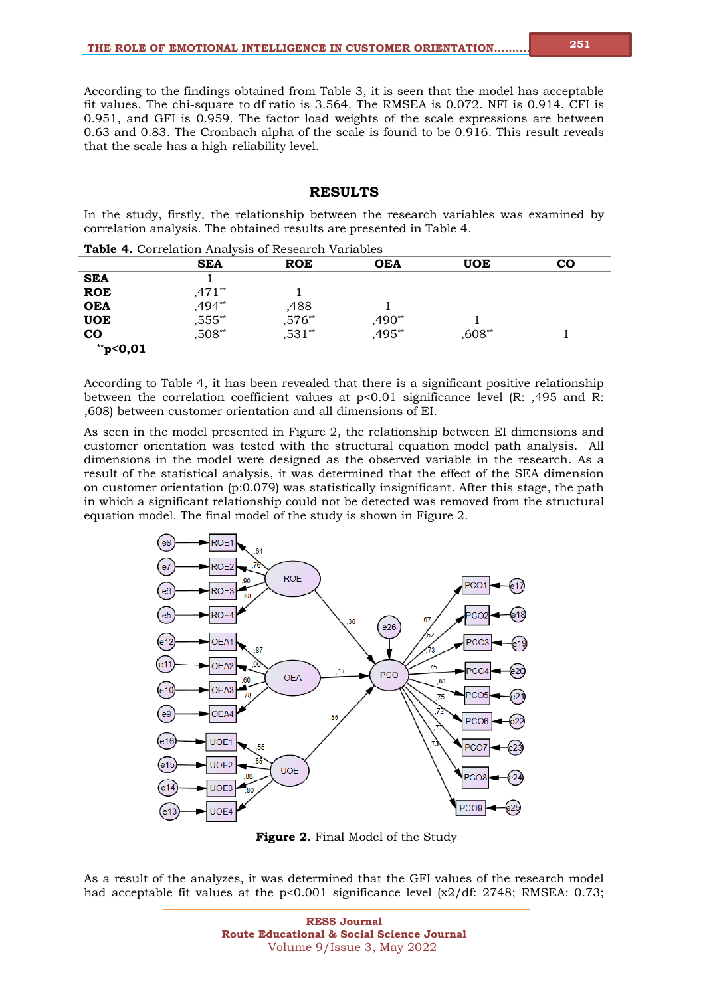According to the findings obtained from Table 3, it is seen that the model has acceptable fit values. The chi-square to df ratio is 3.564. The RMSEA is 0.072. NFI is 0.914. CFI is 0.951, and GFI is 0.959. The factor load weights of the scale expressions are between 0.63 and 0.83. The Cronbach alpha of the scale is found to be 0.916. This result reveals that the scale has a high-reliability level.

#### **RESULTS**

In the study, firstly, the relationship between the research variables was examined by correlation analysis. The obtained results are presented in Table 4.

**Table 4.** Correlation Analysis of Research Variables

| <b>Lable T.</b> Correlation Analysis of Research Variables |            |            |            |        |           |  |  |
|------------------------------------------------------------|------------|------------|------------|--------|-----------|--|--|
|                                                            | <b>SEA</b> | <b>ROE</b> | <b>OEA</b> | UOE    | <b>CO</b> |  |  |
| <b>SEA</b>                                                 |            |            |            |        |           |  |  |
| <b>ROE</b>                                                 | .471**     |            |            |        |           |  |  |
| <b>OEA</b>                                                 | ,494**     | ,488       |            |        |           |  |  |
| <b>UOE</b>                                                 | $,555***$  | $,576**$   | $,490**$   |        |           |  |  |
| <b>CO</b>                                                  | ,508**     | $,531**$   | $,495**$   | ,608** |           |  |  |
| **p<0,01                                                   |            |            |            |        |           |  |  |

According to Table 4, it has been revealed that there is a significant positive relationship between the correlation coefficient values at p<0.01 significance level (R: ,495 and R: ,608) between customer orientation and all dimensions of EI.

As seen in the model presented in Figure 2, the relationship between EI dimensions and customer orientation was tested with the structural equation model path analysis. All dimensions in the model were designed as the observed variable in the research. As a result of the statistical analysis, it was determined that the effect of the SEA dimension on customer orientation (p:0.079) was statistically insignificant. After this stage, the path in which a significant relationship could not be detected was removed from the structural equation model. The final model of the study is shown in Figure 2.



**Figure 2.** Final Model of the Study

As a result of the analyzes, it was determined that the GFI values of the research model had acceptable fit values at the  $p<0.001$  significance level  $\left[\frac{\alpha}{2}/\text{df}\right]$ : 2748; RMSEA: 0.73;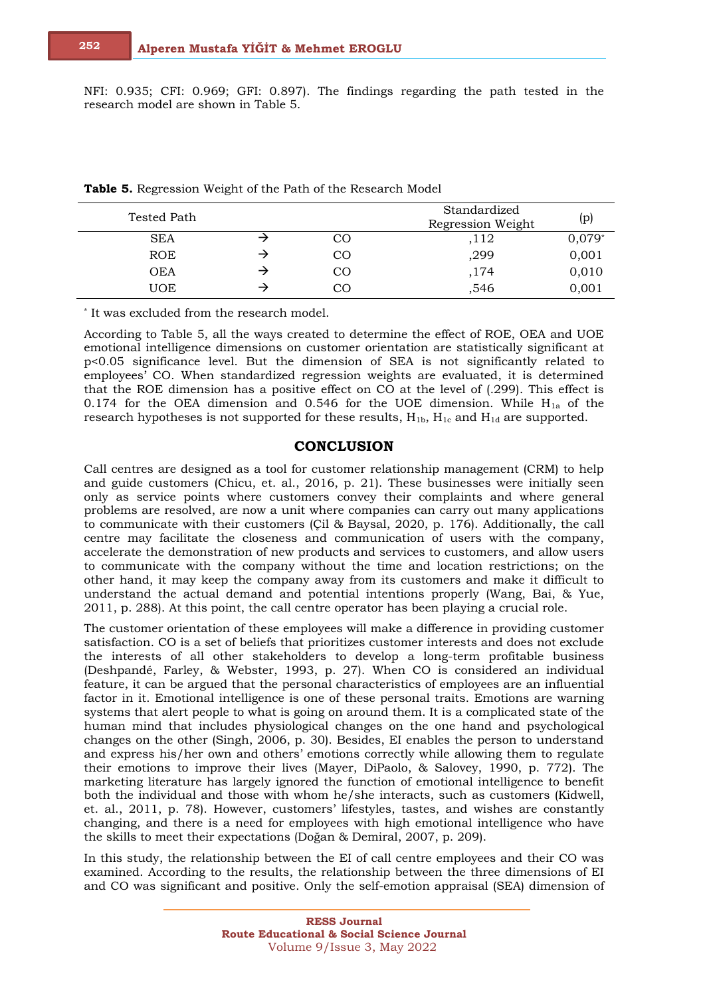NFI: 0.935; CFI: 0.969; GFI: 0.897). The findings regarding the path tested in the research model are shown in Table 5.

| Tested Path |               | Standardized<br>Regression Weight | (p)      |
|-------------|---------------|-----------------------------------|----------|
| <b>SEA</b>  | <sub>CO</sub> | ,112                              | $0,079*$ |
| <b>ROE</b>  | <sub>CO</sub> | ,299                              | 0,001    |
| OEA         | <sub>CO</sub> | ,174                              | 0,010    |
| <b>UOE</b>  | CO            | ,546                              | 0,001    |

|  |  |  | Table 5. Regression Weight of the Path of the Research Model |  |  |  |  |  |  |
|--|--|--|--------------------------------------------------------------|--|--|--|--|--|--|
|--|--|--|--------------------------------------------------------------|--|--|--|--|--|--|

\* It was excluded from the research model.

According to Table 5, all the ways created to determine the effect of ROE, OEA and UOE emotional intelligence dimensions on customer orientation are statistically significant at p<0.05 significance level. But the dimension of SEA is not significantly related to employees' CO. When standardized regression weights are evaluated, it is determined that the ROE dimension has a positive effect on CO at the level of (.299). This effect is 0.174 for the OEA dimension and 0.546 for the UOE dimension. While  $H_{1a}$  of the research hypotheses is not supported for these results,  $H_{1b}$ ,  $H_{1c}$  and  $H_{1d}$  are supported.

### **CONCLUSION**

Call centres are designed as a tool for customer relationship management (CRM) to help and guide customers (Chicu, et. al., 2016, p. 21). These businesses were initially seen only as service points where customers convey their complaints and where general problems are resolved, are now a unit where companies can carry out many applications to communicate with their customers (Çil & Baysal, 2020, p. 176). Additionally, the call centre may facilitate the closeness and communication of users with the company, accelerate the demonstration of new products and services to customers, and allow users to communicate with the company without the time and location restrictions; on the other hand, it may keep the company away from its customers and make it difficult to understand the actual demand and potential intentions properly (Wang, Bai, & Yue, 2011, p. 288). At this point, the call centre operator has been playing a crucial role.

The customer orientation of these employees will make a difference in providing customer satisfaction. CO is a set of beliefs that prioritizes customer interests and does not exclude the interests of all other stakeholders to develop a long-term profitable business (Deshpandé, Farley, & Webster, 1993, p. 27). When CO is considered an individual feature, it can be argued that the personal characteristics of employees are an influential factor in it. Emotional intelligence is one of these personal traits. Emotions are warning systems that alert people to what is going on around them. It is a complicated state of the human mind that includes physiological changes on the one hand and psychological changes on the other (Singh, 2006, p. 30). Besides, EI enables the person to understand and express his/her own and others' emotions correctly while allowing them to regulate their emotions to improve their lives (Mayer, DiPaolo, & Salovey, 1990, p. 772). The marketing literature has largely ignored the function of emotional intelligence to benefit both the individual and those with whom he/she interacts, such as customers (Kidwell, et. al., 2011, p. 78). However, customers' lifestyles, tastes, and wishes are constantly changing, and there is a need for employees with high emotional intelligence who have the skills to meet their expectations (Doğan & Demiral, 2007, p. 209).

In this study, the relationship between the EI of call centre employees and their CO was examined. According to the results, the relationship between the three dimensions of EI and CO was significant and positive. Only the self-emotion appraisal (SEA) dimension of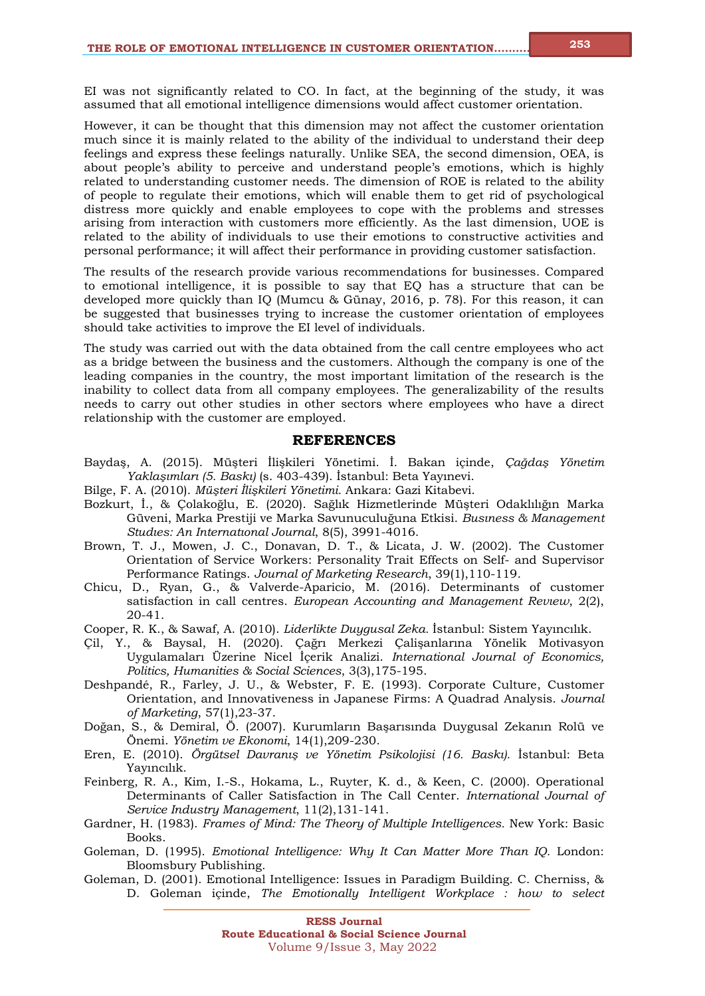EI was not significantly related to CO. In fact, at the beginning of the study, it was assumed that all emotional intelligence dimensions would affect customer orientation.

However, it can be thought that this dimension may not affect the customer orientation much since it is mainly related to the ability of the individual to understand their deep feelings and express these feelings naturally. Unlike SEA, the second dimension, OEA, is about people's ability to perceive and understand people's emotions, which is highly related to understanding customer needs. The dimension of ROE is related to the ability of people to regulate their emotions, which will enable them to get rid of psychological distress more quickly and enable employees to cope with the problems and stresses arising from interaction with customers more efficiently. As the last dimension, UOE is related to the ability of individuals to use their emotions to constructive activities and personal performance; it will affect their performance in providing customer satisfaction.

The results of the research provide various recommendations for businesses. Compared to emotional intelligence, it is possible to say that EQ has a structure that can be developed more quickly than IQ (Mumcu & Günay, 2016, p. 78). For this reason, it can be suggested that businesses trying to increase the customer orientation of employees should take activities to improve the EI level of individuals.

The study was carried out with the data obtained from the call centre employees who act as a bridge between the business and the customers. Although the company is one of the leading companies in the country, the most important limitation of the research is the inability to collect data from all company employees. The generalizability of the results needs to carry out other studies in other sectors where employees who have a direct relationship with the customer are employed.

#### **REFERENCES**

- Baydaş, A. (2015). Müşteri İlişkileri Yönetimi. İ. Bakan içinde, *Çağdaş Yönetim Yaklaşımları (5. Baskı)* (s. 403-439). İstanbul: Beta Yayınevi.
- Bilge, F. A. (2010). *Müşteri İlişkileri Yönetimi.* Ankara: Gazi Kitabevi.
- Bozkurt, İ., & Çolakoğlu, E. (2020). Sağlık Hizmetlerinde Müşteri Odaklılığın Marka Güveni, Marka Prestiji ve Marka Savunuculuğuna Etkisi. *Busıness & Management Studıes: An Internatıonal Journal*, 8(5), 3991-4016.
- Brown, T. J., Mowen, J. C., Donavan, D. T., & Licata, J. W. (2002). The Customer Orientation of Service Workers: Personality Trait Effects on Self- and Supervisor Performance Ratings. *Journal of Marketing Research*, 39(1),110-119.
- Chicu, D., Ryan, G., & Valverde-Aparicio, M. (2016). Determinants of customer satisfaction in call centres. *European Accounting and Management Revıew*, 2(2), 20-41.
- Cooper, R. K., & Sawaf, A. (2010). *Liderlikte Duygusal Zeka.* İstanbul: Sistem Yayıncılık.
- Çil, Y., & Baysal, H. (2020). Çağrı Merkezi Çalişanlarına Yönelik Motivasyon Uygulamaları Üzerine Nicel İçerik Analizi. *International Journal of Economics, Politics, Humanities & Social Sciences*, 3(3),175-195.
- Deshpandé, R., Farley, J. U., & Webster, F. E. (1993). Corporate Culture, Customer Orientation, and Innovativeness in Japanese Firms: A Quadrad Analysis. *Journal of Marketing*, 57(1),23-37.
- Doğan, S., & Demiral, Ö. (2007). Kurumların Başarısında Duygusal Zekanın Rolü ve Önemi. *Yönetim ve Ekonomi*, 14(1),209-230.
- Eren, E. (2010). *Örgütsel Davranış ve Yönetim Psikolojisi (16. Baskı).* İstanbul: Beta Yayıncılık.
- Feinberg, R. A., Kim, I.-S., Hokama, L., Ruyter, K. d., & Keen, C. (2000). Operational Determinants of Caller Satisfaction in The Call Center. *International Journal of Service Industry Management*, 11(2),131-141.
- Gardner, H. (1983). *Frames of Mind: The Theory of Multiple Intelligences.* New York: Basic Books.
- Goleman, D. (1995). *Emotional Intelligence: Why It Can Matter More Than IQ.* London: Bloomsbury Publishing.
- Goleman, D. (2001). Emotional Intelligence: Issues in Paradigm Building. C. Cherniss, & D. Goleman içinde, *The Emotionally Intelligent Workplace : how to select*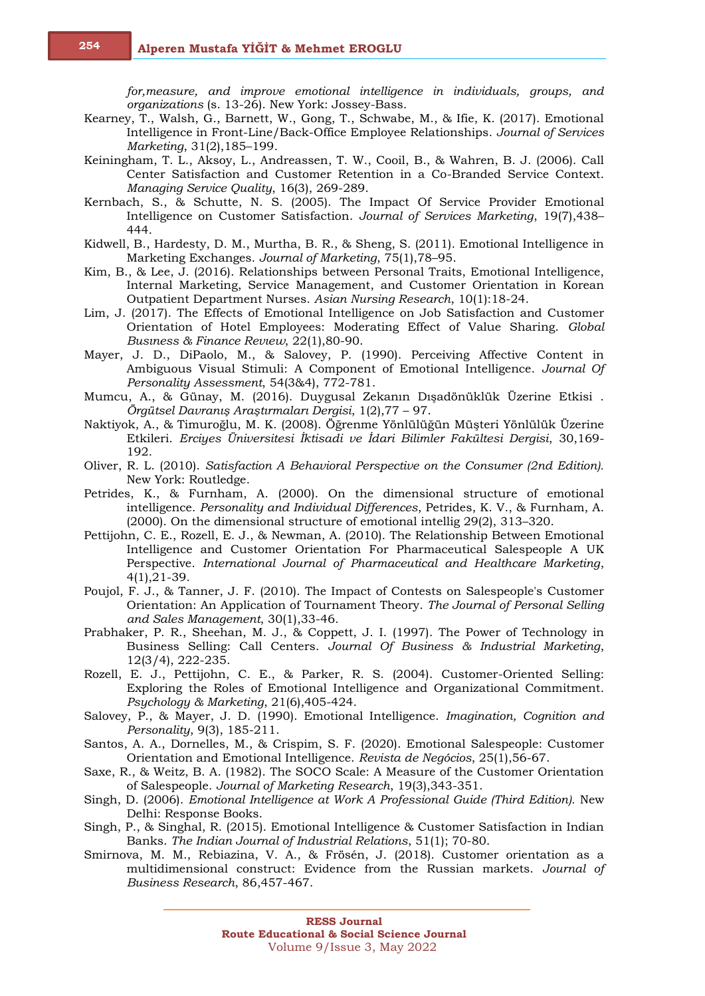*for,measure, and improve emotional intelligence in individuals, groups, and organizations* (s. 13-26). New York: Jossey-Bass.

- Kearney, T., Walsh, G., Barnett, W., Gong, T., Schwabe, M., & Ifie, K. (2017). Emotional Intelligence in Front-Line/Back-Office Employee Relationships. *Journal of Services Marketing*, 31(2),185–199.
- Keiningham, T. L., Aksoy, L., Andreassen, T. W., Cooil, B., & Wahren, B. J. (2006). Call Center Satisfaction and Customer Retention in a Co-Branded Service Context. *Managing Service Quality*, 16(3), 269-289.
- Kernbach, S., & Schutte, N. S. (2005). The Impact Of Service Provider Emotional Intelligence on Customer Satisfaction. *Journal of Services Marketing*, 19(7),438– 444.
- Kidwell, B., Hardesty, D. M., Murtha, B. R., & Sheng, S. (2011). Emotional Intelligence in Marketing Exchanges. *Journal of Marketing*, 75(1),78–95.
- Kim, B., & Lee, J. (2016). Relationships between Personal Traits, Emotional Intelligence, Internal Marketing, Service Management, and Customer Orientation in Korean Outpatient Department Nurses. *Asian Nursing Research*, 10(1):18-24.
- Lim, J. (2017). The Effects of Emotional Intelligence on Job Satisfaction and Customer Orientation of Hotel Employees: Moderating Effect of Value Sharing. *Global Busıness & Finance Revıew*, 22(1),80-90.
- Mayer, J. D., DiPaolo, M., & Salovey, P. (1990). Perceiving Affective Content in Ambiguous Visual Stimuli: A Component of Emotional Intelligence. *Journal Of Personality Assessment*, 54(3&4), 772-781.
- Mumcu, A., & Günay, M. (2016). Duygusal Zekanın Dışadönüklük Üzerine Etkisi . *Örgütsel Davranış Araştırmaları Dergisi*, 1(2),77 – 97.
- Naktiyok, A., & Timuroğlu, M. K. (2008). Öğrenme Yönlülüğün Müşteri Yönlülük Üzerine Etkileri. *Erciyes Üniversitesi İktisadi ve İdari Bilimler Fakültesi Dergisi*, 30,169- 192.
- Oliver, R. L. (2010). *Satisfaction A Behavioral Perspective on the Consumer (2nd Edition).* New York: Routledge.
- Petrides, K., & Furnham, A. (2000). On the dimensional structure of emotional intelligence. *Personality and Individual Differences*, Petrides, K. V., & Furnham, A. (2000). On the dimensional structure of emotional intellig 29(2), 313–320.
- Pettijohn, C. E., Rozell, E. J., & Newman, A. (2010). The Relationship Between Emotional Intelligence and Customer Orientation For Pharmaceutical Salespeople A UK Perspective. *International Journal of Pharmaceutical and Healthcare Marketing*, 4(1),21-39.
- Poujol, F. J., & Tanner, J. F. (2010). The Impact of Contests on Salespeople's Customer Orientation: An Application of Tournament Theory. *The Journal of Personal Selling and Sales Management*, 30(1),33-46.
- Prabhaker, P. R., Sheehan, M. J., & Coppett, J. I. (1997). The Power of Technology in Business Selling: Call Centers. *Journal Of Business & Industrial Marketing*, 12(3/4), 222-235.
- Rozell, E. J., Pettijohn, C. E., & Parker, R. S. (2004). Customer-Oriented Selling: Exploring the Roles of Emotional Intelligence and Organizational Commitment. *Psychology & Marketing*, 21(6),405-424.
- Salovey, P., & Mayer, J. D. (1990). Emotional Intelligence. *Imagination, Cognition and Personality*, 9(3), 185-211.
- Santos, A. A., Dornelles, M., & Crispim, S. F. (2020). Emotional Salespeople: Customer Orientation and Emotional Intelligence. *Revista de Negócios*, 25(1),56-67.
- Saxe, R., & Weitz, B. A. (1982). The SOCO Scale: A Measure of the Customer Orientation of Salespeople. *Journal of Marketing Research*, 19(3),343-351.
- Singh, D. (2006). *Emotional Intelligence at Work A Professional Guide (Third Edition).* New Delhi: Response Books.
- Singh, P., & Singhal, R. (2015). Emotional Intelligence & Customer Satisfaction in Indian Banks. *The Indian Journal of Industrial Relations*, 51(1); 70-80.
- Smirnova, M. M., Rebiazina, V. A., & Frösén, J. (2018). Customer orientation as a multidimensional construct: Evidence from the Russian markets. *Journal of Business Research*, 86,457-467.